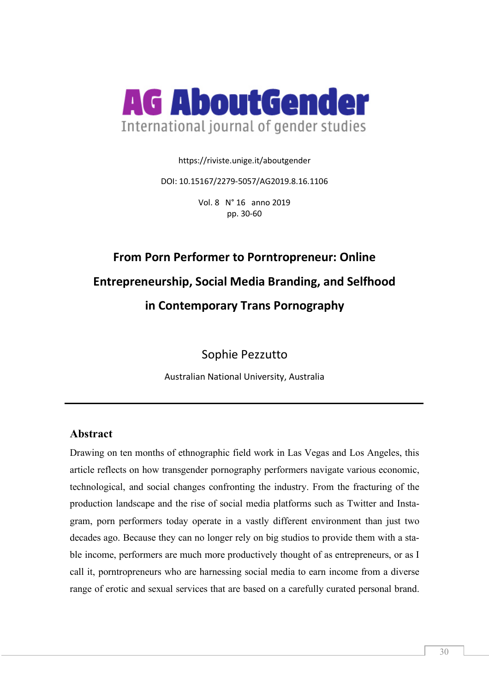

https://riviste.unige.it/aboutgender

DOI: 10.15167/2279-5057/AG2019.8.16.1106

Vol. 8 N° 16 anno 2019 pp. 30-60

# **From Porn Performer to Porntropreneur: Online Entrepreneurship, Social Media Branding, and Selfhood in Contemporary Trans Pornography**

Sophie Pezzutto

Australian National University, Australia

## **Abstract**

Drawing on ten months of ethnographic field work in Las Vegas and Los Angeles, this article reflects on how transgender pornography performers navigate various economic, technological, and social changes confronting the industry. From the fracturing of the production landscape and the rise of social media platforms such as Twitter and Instagram, porn performers today operate in a vastly different environment than just two decades ago. Because they can no longer rely on big studios to provide them with a stable income, performers are much more productively thought of as entrepreneurs, or as I call it, porntropreneurs who are harnessing social media to earn income from a diverse range of erotic and sexual services that are based on a carefully curated personal brand.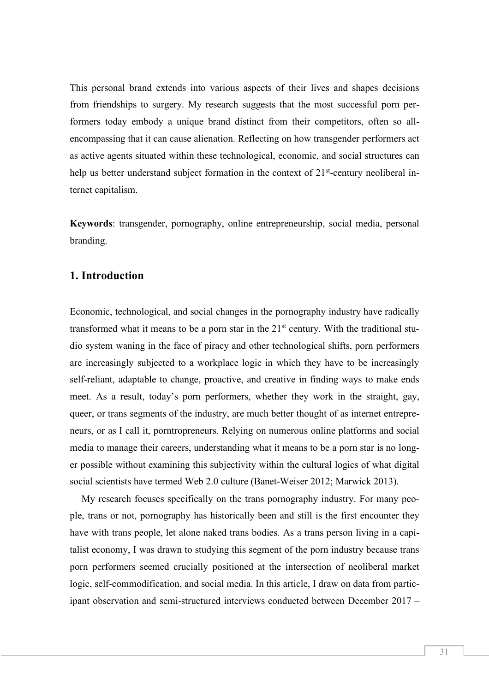This personal brand extends into various aspects of their lives and shapes decisions from friendships to surgery. My research suggests that the most successful porn performers today embody a unique brand distinct from their competitors, often so allencompassing that it can cause alienation. Reflecting on how transgender performers act as active agents situated within these technological, economic, and social structures can help us better understand subject formation in the context of 21<sup>st</sup>-century neoliberal internet capitalism.

**Keywords**: transgender, pornography, online entrepreneurship, social media, personal branding.

## **1. Introduction**

Economic, technological, and social changes in the pornography industry have radically transformed what it means to be a porn star in the 21st century. With the traditional studio system waning in the face of piracy and other technological shifts, porn performers are increasingly subjected to a workplace logic in which they have to be increasingly self-reliant, adaptable to change, proactive, and creative in finding ways to make ends meet. As a result, today's porn performers, whether they work in the straight, gay, queer, or trans segments of the industry, are much better thought of as internet entrepreneurs, or as I call it, porntropreneurs. Relying on numerous online platforms and social media to manage their careers, understanding what it means to be a porn star is no longer possible without examining this subjectivity within the cultural logics of what digital social scientists have termed Web 2.0 culture (Banet-Weiser 2012; Marwick 2013).

My research focuses specifically on the trans pornography industry. For many people, trans or not, pornography has historically been and still is the first encounter they have with trans people, let alone naked trans bodies. As a trans person living in a capitalist economy, I was drawn to studying this segment of the porn industry because trans porn performers seemed crucially positioned at the intersection of neoliberal market logic, self-commodification, and social media. In this article, I draw on data from participant observation and semi-structured interviews conducted between December 2017 –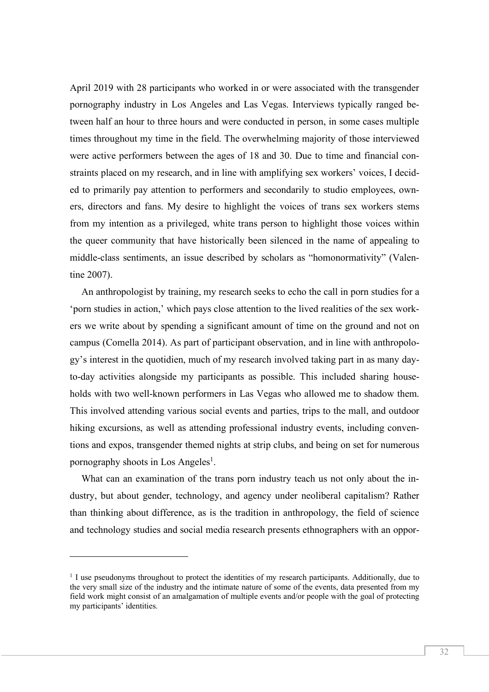April 2019 with 28 participants who worked in or were associated with the transgender pornography industry in Los Angeles and Las Vegas. Interviews typically ranged between half an hour to three hours and were conducted in person, in some cases multiple times throughout my time in the field. The overwhelming majority of those interviewed were active performers between the ages of 18 and 30. Due to time and financial constraints placed on my research, and in line with amplifying sex workers' voices, I decided to primarily pay attention to performers and secondarily to studio employees, owners, directors and fans. My desire to highlight the voices of trans sex workers stems from my intention as a privileged, white trans person to highlight those voices within the queer community that have historically been silenced in the name of appealing to middle-class sentiments, an issue described by scholars as "homonormativity" (Valentine 2007).

An anthropologist by training, my research seeks to echo the call in porn studies for a 'porn studies in action,' which pays close attention to the lived realities of the sex workers we write about by spending a significant amount of time on the ground and not on campus (Comella 2014). As part of participant observation, and in line with anthropology's interest in the quotidien, much of my research involved taking part in as many dayto-day activities alongside my participants as possible. This included sharing households with two well-known performers in Las Vegas who allowed me to shadow them. This involved attending various social events and parties, trips to the mall, and outdoor hiking excursions, as well as attending professional industry events, including conventions and expos, transgender themed nights at strip clubs, and being on set for numerous pornography shoots in Los Angeles<sup>1</sup>.

What can an examination of the trans porn industry teach us not only about the industry, but about gender, technology, and agency under neoliberal capitalism? Rather than thinking about difference, as is the tradition in anthropology, the field of science and technology studies and social media research presents ethnographers with an oppor-

 $\overline{a}$ 

<sup>&</sup>lt;sup>1</sup> I use pseudonyms throughout to protect the identities of my research participants. Additionally, due to the very small size of the industry and the intimate nature of some of the events, data presented from my field work might consist of an amalgamation of multiple events and/or people with the goal of protecting my participants' identities.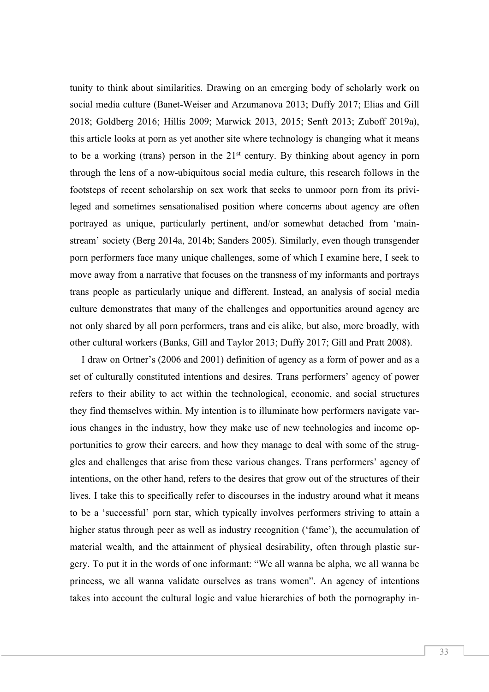tunity to think about similarities. Drawing on an emerging body of scholarly work on social media culture (Banet-Weiser and Arzumanova 2013; Duffy 2017; Elias and Gill 2018; Goldberg 2016; Hillis 2009; Marwick 2013, 2015; Senft 2013; Zuboff 2019a), this article looks at porn as yet another site where technology is changing what it means to be a working (trans) person in the  $21<sup>st</sup>$  century. By thinking about agency in porn through the lens of a now-ubiquitous social media culture, this research follows in the footsteps of recent scholarship on sex work that seeks to unmoor porn from its privileged and sometimes sensationalised position where concerns about agency are often portrayed as unique, particularly pertinent, and/or somewhat detached from 'mainstream' society (Berg 2014a, 2014b; Sanders 2005). Similarly, even though transgender porn performers face many unique challenges, some of which I examine here, I seek to move away from a narrative that focuses on the transness of my informants and portrays trans people as particularly unique and different. Instead, an analysis of social media culture demonstrates that many of the challenges and opportunities around agency are not only shared by all porn performers, trans and cis alike, but also, more broadly, with other cultural workers (Banks, Gill and Taylor 2013; Duffy 2017; Gill and Pratt 2008).

I draw on Ortner's (2006 and 2001) definition of agency as a form of power and as a set of culturally constituted intentions and desires. Trans performers' agency of power refers to their ability to act within the technological, economic, and social structures they find themselves within. My intention is to illuminate how performers navigate various changes in the industry, how they make use of new technologies and income opportunities to grow their careers, and how they manage to deal with some of the struggles and challenges that arise from these various changes. Trans performers' agency of intentions, on the other hand, refers to the desires that grow out of the structures of their lives. I take this to specifically refer to discourses in the industry around what it means to be a 'successful' porn star, which typically involves performers striving to attain a higher status through peer as well as industry recognition ('fame'), the accumulation of material wealth, and the attainment of physical desirability, often through plastic surgery. To put it in the words of one informant: "We all wanna be alpha, we all wanna be princess, we all wanna validate ourselves as trans women". An agency of intentions takes into account the cultural logic and value hierarchies of both the pornography in-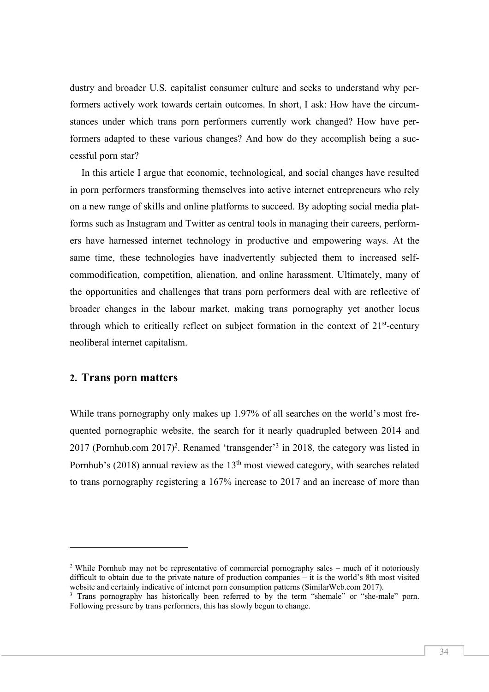dustry and broader U.S. capitalist consumer culture and seeks to understand why performers actively work towards certain outcomes. In short, I ask: How have the circumstances under which trans porn performers currently work changed? How have performers adapted to these various changes? And how do they accomplish being a successful porn star?

In this article I argue that economic, technological, and social changes have resulted in porn performers transforming themselves into active internet entrepreneurs who rely on a new range of skills and online platforms to succeed. By adopting social media platforms such as Instagram and Twitter as central tools in managing their careers, performers have harnessed internet technology in productive and empowering ways. At the same time, these technologies have inadvertently subjected them to increased selfcommodification, competition, alienation, and online harassment. Ultimately, many of the opportunities and challenges that trans porn performers deal with are reflective of broader changes in the labour market, making trans pornography yet another locus through which to critically reflect on subject formation in the context of  $21<sup>st</sup>$ -century neoliberal internet capitalism.

## **2. Trans porn matters**

 $\overline{a}$ 

While trans pornography only makes up 1.97% of all searches on the world's most frequented pornographic website, the search for it nearly quadrupled between 2014 and 2017 (Pornhub.com 2017)2. Renamed 'transgender'3 in 2018, the category was listed in Pornhub's (2018) annual review as the  $13<sup>th</sup>$  most viewed category, with searches related to trans pornography registering a 167% increase to 2017 and an increase of more than

<sup>&</sup>lt;sup>2</sup> While Pornhub may not be representative of commercial pornography sales – much of it notoriously difficult to obtain due to the private nature of production companies – it is the world's 8th most visited website and certainly indicative of internet porn consumption patterns (SimilarWeb.com 2017).

<sup>&</sup>lt;sup>3</sup> Trans pornography has historically been referred to by the term "shemale" or "she-male" porn. Following pressure by trans performers, this has slowly begun to change.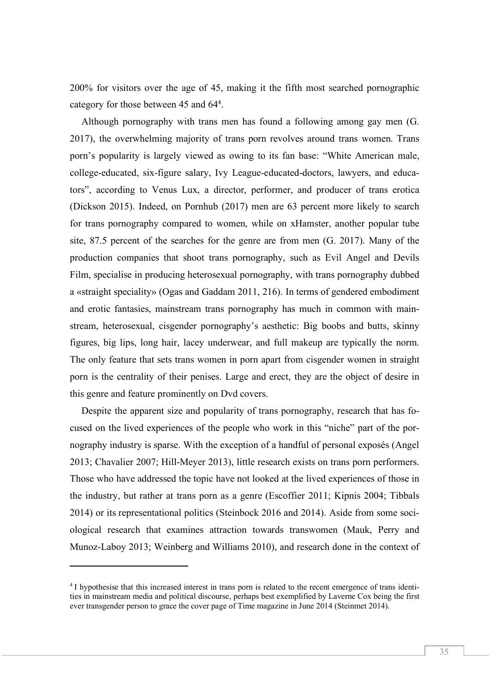200% for visitors over the age of 45, making it the fifth most searched pornographic category for those between 45 and 64<sup>4</sup>.

Although pornography with trans men has found a following among gay men (G. 2017), the overwhelming majority of trans porn revolves around trans women. Trans porn's popularity is largely viewed as owing to its fan base: "White American male, college-educated, six-figure salary, Ivy League-educated-doctors, lawyers, and educators", according to Venus Lux, a director, performer, and producer of trans erotica (Dickson 2015). Indeed, on Pornhub (2017) men are 63 percent more likely to search for trans pornography compared to women, while on xHamster, another popular tube site, 87.5 percent of the searches for the genre are from men (G. 2017). Many of the production companies that shoot trans pornography, such as Evil Angel and Devils Film, specialise in producing heterosexual pornography, with trans pornography dubbed a «straight speciality» (Ogas and Gaddam 2011, 216). In terms of gendered embodiment and erotic fantasies, mainstream trans pornography has much in common with mainstream, heterosexual, cisgender pornography's aesthetic: Big boobs and butts, skinny figures, big lips, long hair, lacey underwear, and full makeup are typically the norm. The only feature that sets trans women in porn apart from cisgender women in straight porn is the centrality of their penises. Large and erect, they are the object of desire in this genre and feature prominently on Dvd covers.

Despite the apparent size and popularity of trans pornography, research that has focused on the lived experiences of the people who work in this "niche" part of the pornography industry is sparse. With the exception of a handful of personal exposés (Angel 2013; Chavalier 2007; Hill-Meyer 2013), little research exists on trans porn performers. Those who have addressed the topic have not looked at the lived experiences of those in the industry, but rather at trans porn as a genre (Escoffier 2011; Kipnis 2004; Tibbals 2014) or its representational politics (Steinbock 2016 and 2014). Aside from some sociological research that examines attraction towards transwomen (Mauk, Perry and Munoz-Laboy 2013; Weinberg and Williams 2010), and research done in the context of

 $\overline{a}$ 

<sup>4</sup> I hypothesise that this increased interest in trans porn is related to the recent emergence of trans identities in mainstream media and political discourse, perhaps best exemplified by Laverne Cox being the first ever transgender person to grace the cover page of Time magazine in June 2014 (Steinmet 2014).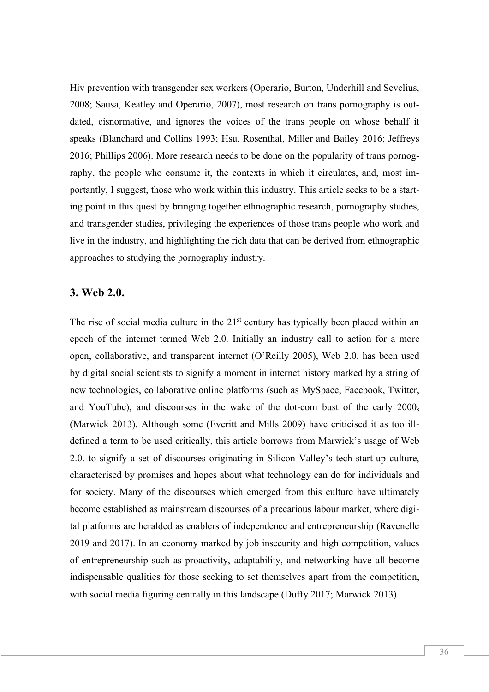Hiv prevention with transgender sex workers (Operario, Burton, Underhill and Sevelius, 2008; Sausa, Keatley and Operario, 2007), most research on trans pornography is outdated, cisnormative, and ignores the voices of the trans people on whose behalf it speaks (Blanchard and Collins 1993; Hsu, Rosenthal, Miller and Bailey 2016; Jeffreys 2016; Phillips 2006). More research needs to be done on the popularity of trans pornography, the people who consume it, the contexts in which it circulates, and, most importantly, I suggest, those who work within this industry. This article seeks to be a starting point in this quest by bringing together ethnographic research, pornography studies, and transgender studies, privileging the experiences of those trans people who work and live in the industry, and highlighting the rich data that can be derived from ethnographic approaches to studying the pornography industry.

#### **3. Web 2.0.**

The rise of social media culture in the 21<sup>st</sup> century has typically been placed within an epoch of the internet termed Web 2.0. Initially an industry call to action for a more open, collaborative, and transparent internet (O'Reilly 2005), Web 2.0. has been used by digital social scientists to signify a moment in internet history marked by a string of new technologies, collaborative online platforms (such as MySpace, Facebook, Twitter, and YouTube), and discourses in the wake of the dot-com bust of the early 2000s (Marwick 2013). Although some (Everitt and Mills 2009) have criticised it as too illdefined a term to be used critically, this article borrows from Marwick's usage of Web 2.0. to signify a set of discourses originating in Silicon Valley's tech start-up culture, characterised by promises and hopes about what technology can do for individuals and for society. Many of the discourses which emerged from this culture have ultimately become established as mainstream discourses of a precarious labour market, where digital platforms are heralded as enablers of independence and entrepreneurship (Ravenelle 2019 and 2017). In an economy marked by job insecurity and high competition, values of entrepreneurship such as proactivity, adaptability, and networking have all become indispensable qualities for those seeking to set themselves apart from the competition, with social media figuring centrally in this landscape (Duffy 2017; Marwick 2013).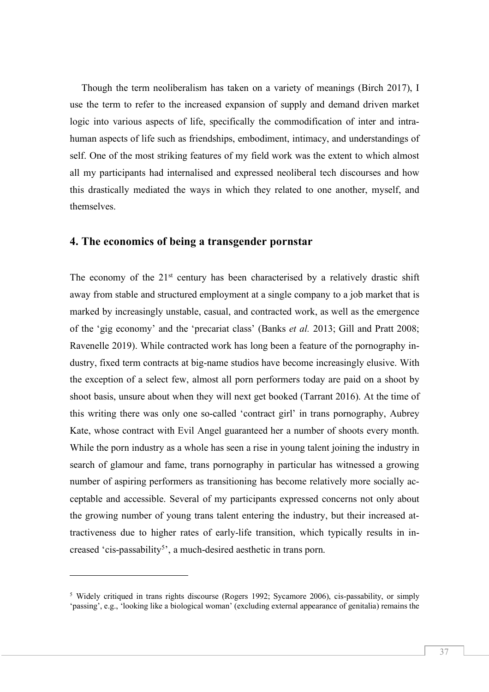Though the term neoliberalism has taken on a variety of meanings (Birch 2017), I use the term to refer to the increased expansion of supply and demand driven market logic into various aspects of life, specifically the commodification of inter and intrahuman aspects of life such as friendships, embodiment, intimacy, and understandings of self. One of the most striking features of my field work was the extent to which almost all my participants had internalised and expressed neoliberal tech discourses and how this drastically mediated the ways in which they related to one another, myself, and themselves.

#### **4. The economics of being a transgender pornstar**

The economy of the  $21<sup>st</sup>$  century has been characterised by a relatively drastic shift away from stable and structured employment at a single company to a job market that is marked by increasingly unstable, casual, and contracted work, as well as the emergence of the 'gig economy' and the 'precariat class' (Banks *et al.* 2013; Gill and Pratt 2008; Ravenelle 2019). While contracted work has long been a feature of the pornography industry, fixed term contracts at big-name studios have become increasingly elusive. With the exception of a select few, almost all porn performers today are paid on a shoot by shoot basis, unsure about when they will next get booked (Tarrant 2016). At the time of this writing there was only one so-called 'contract girl' in trans pornography, Aubrey Kate, whose contract with Evil Angel guaranteed her a number of shoots every month. While the porn industry as a whole has seen a rise in young talent joining the industry in search of glamour and fame, trans pornography in particular has witnessed a growing number of aspiring performers as transitioning has become relatively more socially acceptable and accessible. Several of my participants expressed concerns not only about the growing number of young trans talent entering the industry, but their increased attractiveness due to higher rates of early-life transition, which typically results in increased 'cis-passability<sup>5</sup>', a much-desired aesthetic in trans porn.

l

<sup>5</sup> Widely critiqued in trans rights discourse (Rogers 1992; Sycamore 2006), cis-passability, or simply 'passing', e.g., 'looking like a biological woman' (excluding external appearance of genitalia) remains the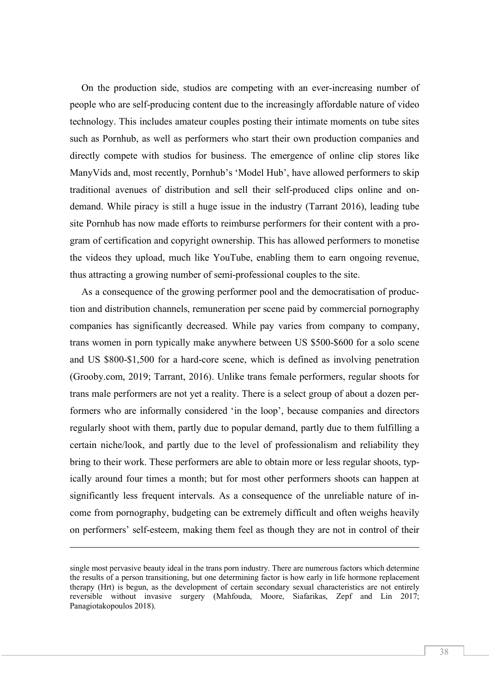On the production side, studios are competing with an ever-increasing number of people who are self-producing content due to the increasingly affordable nature of video technology. This includes amateur couples posting their intimate moments on tube sites such as Pornhub, as well as performers who start their own production companies and directly compete with studios for business. The emergence of online clip stores like ManyVids and, most recently, Pornhub's 'Model Hub', have allowed performers to skip traditional avenues of distribution and sell their self-produced clips online and ondemand. While piracy is still a huge issue in the industry (Tarrant 2016), leading tube site Pornhub has now made efforts to reimburse performers for their content with a program of certification and copyright ownership. This has allowed performers to monetise the videos they upload, much like YouTube, enabling them to earn ongoing revenue, thus attracting a growing number of semi-professional couples to the site.

As a consequence of the growing performer pool and the democratisation of production and distribution channels, remuneration per scene paid by commercial pornography companies has significantly decreased. While pay varies from company to company, trans women in porn typically make anywhere between US \$500-\$600 for a solo scene and US \$800-\$1,500 for a hard-core scene, which is defined as involving penetration (Grooby.com, 2019; Tarrant, 2016). Unlike trans female performers, regular shoots for trans male performers are not yet a reality. There is a select group of about a dozen performers who are informally considered 'in the loop', because companies and directors regularly shoot with them, partly due to popular demand, partly due to them fulfilling a certain niche/look, and partly due to the level of professionalism and reliability they bring to their work. These performers are able to obtain more or less regular shoots, typically around four times a month; but for most other performers shoots can happen at significantly less frequent intervals. As a consequence of the unreliable nature of income from pornography, budgeting can be extremely difficult and often weighs heavily on performers' self-esteem, making them feel as though they are not in control of their

 $\overline{a}$ 

single most pervasive beauty ideal in the trans porn industry. There are numerous factors which determine the results of a person transitioning, but one determining factor is how early in life hormone replacement therapy (Hrt) is begun, as the development of certain secondary sexual characteristics are not entirely reversible without invasive surgery (Mahfouda, Moore, Siafarikas, Zepf and Lin 2017; Panagiotakopoulos 2018).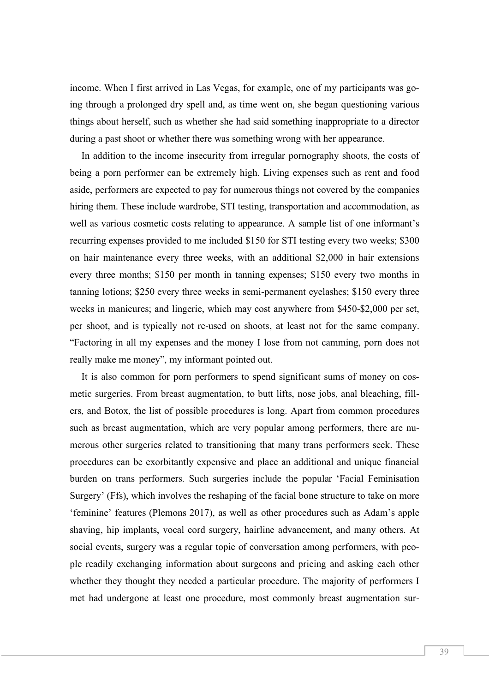income. When I first arrived in Las Vegas, for example, one of my participants was going through a prolonged dry spell and, as time went on, she began questioning various things about herself, such as whether she had said something inappropriate to a director during a past shoot or whether there was something wrong with her appearance.

In addition to the income insecurity from irregular pornography shoots, the costs of being a porn performer can be extremely high. Living expenses such as rent and food aside, performers are expected to pay for numerous things not covered by the companies hiring them. These include wardrobe, STI testing, transportation and accommodation, as well as various cosmetic costs relating to appearance. A sample list of one informant's recurring expenses provided to me included \$150 for STI testing every two weeks; \$300 on hair maintenance every three weeks, with an additional \$2,000 in hair extensions every three months; \$150 per month in tanning expenses; \$150 every two months in tanning lotions; \$250 every three weeks in semi-permanent eyelashes; \$150 every three weeks in manicures; and lingerie, which may cost anywhere from \$450-\$2,000 per set, per shoot, and is typically not re-used on shoots, at least not for the same company. "Factoring in all my expenses and the money I lose from not camming, porn does not really make me money", my informant pointed out.

It is also common for porn performers to spend significant sums of money on cosmetic surgeries. From breast augmentation, to butt lifts, nose jobs, anal bleaching, fillers, and Botox, the list of possible procedures is long. Apart from common procedures such as breast augmentation, which are very popular among performers, there are numerous other surgeries related to transitioning that many trans performers seek. These procedures can be exorbitantly expensive and place an additional and unique financial burden on trans performers. Such surgeries include the popular 'Facial Feminisation Surgery' (Ffs), which involves the reshaping of the facial bone structure to take on more 'feminine' features (Plemons 2017), as well as other procedures such as Adam's apple shaving, hip implants, vocal cord surgery, hairline advancement, and many others. At social events, surgery was a regular topic of conversation among performers, with people readily exchanging information about surgeons and pricing and asking each other whether they thought they needed a particular procedure. The majority of performers I met had undergone at least one procedure, most commonly breast augmentation sur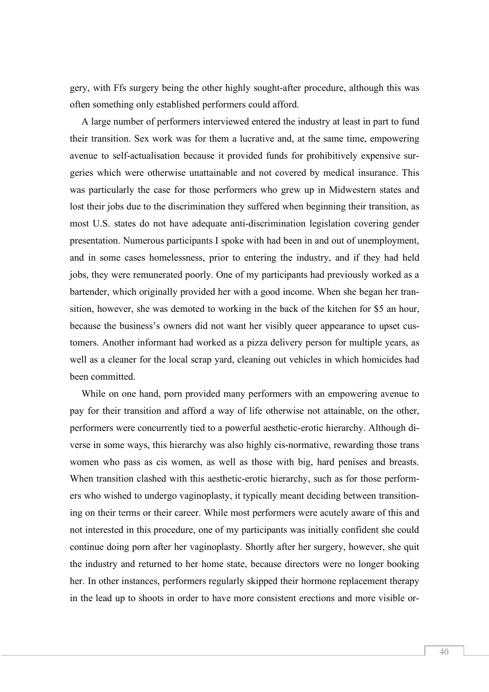gery, with Ffs surgery being the other highly sought-after procedure, although this was often something only established performers could afford.

A large number of performers interviewed entered the industry at least in part to fund their transition. Sex work was for them a lucrative and, at the same time, empowering avenue to self-actualisation because it provided funds for prohibitively expensive surgeries which were otherwise unattainable and not covered by medical insurance. This was particularly the case for those performers who grew up in Midwestern states and lost their jobs due to the discrimination they suffered when beginning their transition, as most U.S. states do not have adequate anti-discrimination legislation covering gender presentation. Numerous participants I spoke with had been in and out of unemployment, and in some cases homelessness, prior to entering the industry, and if they had held jobs, they were remunerated poorly. One of my participants had previously worked as a bartender, which originally provided her with a good income. When she began her transition, however, she was demoted to working in the back of the kitchen for \$5 an hour, because the business's owners did not want her visibly queer appearance to upset customers. Another informant had worked as a pizza delivery person for multiple years, as well as a cleaner for the local scrap yard, cleaning out vehicles in which homicides had been committed.

While on one hand, porn provided many performers with an empowering avenue to pay for their transition and afford a way of life otherwise not attainable, on the other, performers were concurrently tied to a powerful aesthetic-erotic hierarchy. Although diverse in some ways, this hierarchy was also highly cis-normative, rewarding those trans women who pass as cis women, as well as those with big, hard penises and breasts. When transition clashed with this aesthetic-erotic hierarchy, such as for those performers who wished to undergo vaginoplasty, it typically meant deciding between transitioning on their terms or their career. While most performers were acutely aware of this and not interested in this procedure, one of my participants was initially confident she could continue doing porn after her vaginoplasty. Shortly after her surgery, however, she quit the industry and returned to her home state, because directors were no longer booking her. In other instances, performers regularly skipped their hormone replacement therapy in the lead up to shoots in order to have more consistent erections and more visible or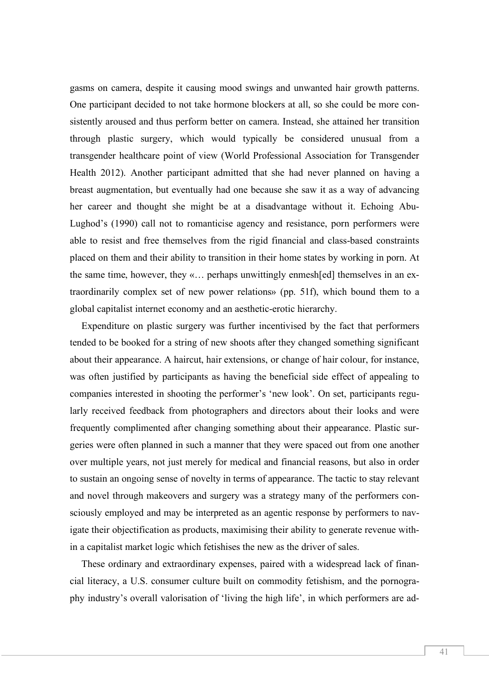gasms on camera, despite it causing mood swings and unwanted hair growth patterns. One participant decided to not take hormone blockers at all, so she could be more consistently aroused and thus perform better on camera. Instead, she attained her transition through plastic surgery, which would typically be considered unusual from a transgender healthcare point of view (World Professional Association for Transgender Health 2012). Another participant admitted that she had never planned on having a breast augmentation, but eventually had one because she saw it as a way of advancing her career and thought she might be at a disadvantage without it. Echoing Abu-Lughod's (1990) call not to romanticise agency and resistance, porn performers were able to resist and free themselves from the rigid financial and class-based constraints placed on them and their ability to transition in their home states by working in porn. At the same time, however, they «… perhaps unwittingly enmesh[ed] themselves in an extraordinarily complex set of new power relations» (pp. 51f), which bound them to a global capitalist internet economy and an aesthetic-erotic hierarchy.

Expenditure on plastic surgery was further incentivised by the fact that performers tended to be booked for a string of new shoots after they changed something significant about their appearance. A haircut, hair extensions, or change of hair colour, for instance, was often justified by participants as having the beneficial side effect of appealing to companies interested in shooting the performer's 'new look'. On set, participants regularly received feedback from photographers and directors about their looks and were frequently complimented after changing something about their appearance. Plastic surgeries were often planned in such a manner that they were spaced out from one another over multiple years, not just merely for medical and financial reasons, but also in order to sustain an ongoing sense of novelty in terms of appearance. The tactic to stay relevant and novel through makeovers and surgery was a strategy many of the performers consciously employed and may be interpreted as an agentic response by performers to navigate their objectification as products, maximising their ability to generate revenue within a capitalist market logic which fetishises the new as the driver of sales.

These ordinary and extraordinary expenses, paired with a widespread lack of financial literacy, a U.S. consumer culture built on commodity fetishism, and the pornography industry's overall valorisation of 'living the high life', in which performers are ad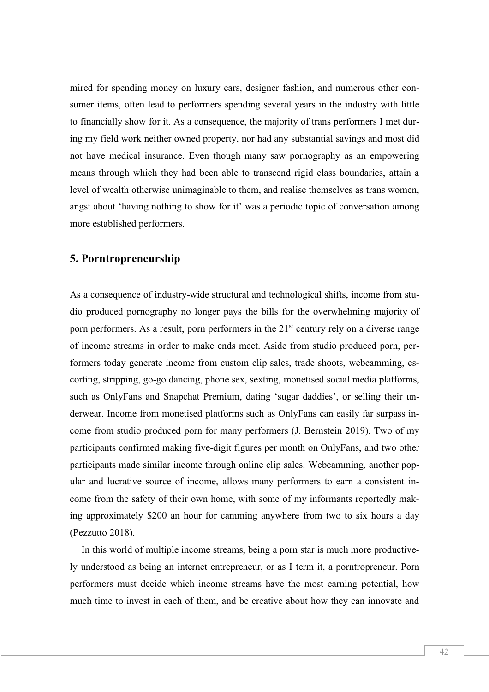mired for spending money on luxury cars, designer fashion, and numerous other consumer items, often lead to performers spending several years in the industry with little to financially show for it. As a consequence, the majority of trans performers I met during my field work neither owned property, nor had any substantial savings and most did not have medical insurance. Even though many saw pornography as an empowering means through which they had been able to transcend rigid class boundaries, attain a level of wealth otherwise unimaginable to them, and realise themselves as trans women, angst about 'having nothing to show for it' was a periodic topic of conversation among more established performers.

#### **5. Porntropreneurship**

As a consequence of industry-wide structural and technological shifts, income from studio produced pornography no longer pays the bills for the overwhelming majority of porn performers. As a result, porn performers in the 21<sup>st</sup> century rely on a diverse range of income streams in order to make ends meet. Aside from studio produced porn, performers today generate income from custom clip sales, trade shoots, webcamming, escorting, stripping, go-go dancing, phone sex, sexting, monetised social media platforms, such as OnlyFans and Snapchat Premium, dating 'sugar daddies', or selling their underwear. Income from monetised platforms such as OnlyFans can easily far surpass income from studio produced porn for many performers (J. Bernstein 2019). Two of my participants confirmed making five-digit figures per month on OnlyFans, and two other participants made similar income through online clip sales. Webcamming, another popular and lucrative source of income, allows many performers to earn a consistent income from the safety of their own home, with some of my informants reportedly making approximately \$200 an hour for camming anywhere from two to six hours a day (Pezzutto 2018).

In this world of multiple income streams, being a porn star is much more productively understood as being an internet entrepreneur, or as I term it, a porntropreneur. Porn performers must decide which income streams have the most earning potential, how much time to invest in each of them, and be creative about how they can innovate and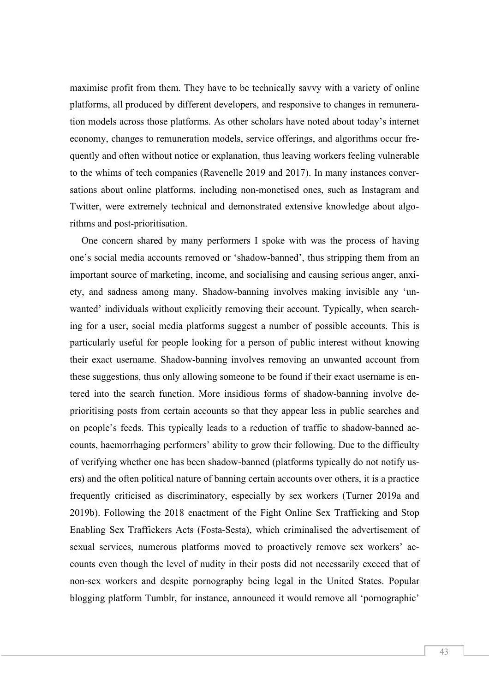maximise profit from them. They have to be technically savvy with a variety of online platforms, all produced by different developers, and responsive to changes in remuneration models across those platforms. As other scholars have noted about today's internet economy, changes to remuneration models, service offerings, and algorithms occur frequently and often without notice or explanation, thus leaving workers feeling vulnerable to the whims of tech companies (Ravenelle 2019 and 2017). In many instances conversations about online platforms, including non-monetised ones, such as Instagram and Twitter, were extremely technical and demonstrated extensive knowledge about algorithms and post-prioritisation.

One concern shared by many performers I spoke with was the process of having one's social media accounts removed or 'shadow-banned', thus stripping them from an important source of marketing, income, and socialising and causing serious anger, anxiety, and sadness among many. Shadow-banning involves making invisible any 'unwanted' individuals without explicitly removing their account. Typically, when searching for a user, social media platforms suggest a number of possible accounts. This is particularly useful for people looking for a person of public interest without knowing their exact username. Shadow-banning involves removing an unwanted account from these suggestions, thus only allowing someone to be found if their exact username is entered into the search function. More insidious forms of shadow-banning involve deprioritising posts from certain accounts so that they appear less in public searches and on people's feeds. This typically leads to a reduction of traffic to shadow-banned accounts, haemorrhaging performers' ability to grow their following. Due to the difficulty of verifying whether one has been shadow-banned (platforms typically do not notify users) and the often political nature of banning certain accounts over others, it is a practice frequently criticised as discriminatory, especially by sex workers (Turner 2019a and 2019b). Following the 2018 enactment of the Fight Online Sex Trafficking and Stop Enabling Sex Traffickers Acts (Fosta-Sesta), which criminalised the advertisement of sexual services, numerous platforms moved to proactively remove sex workers' accounts even though the level of nudity in their posts did not necessarily exceed that of non-sex workers and despite pornography being legal in the United States. Popular blogging platform Tumblr, for instance, announced it would remove all 'pornographic'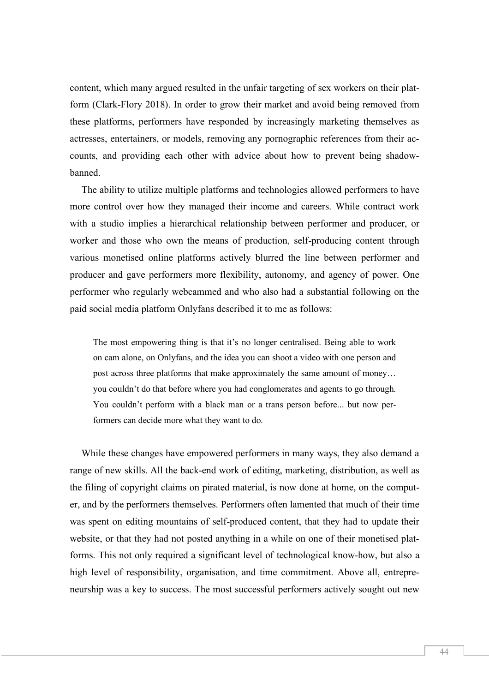content, which many argued resulted in the unfair targeting of sex workers on their platform (Clark-Flory 2018). In order to grow their market and avoid being removed from these platforms, performers have responded by increasingly marketing themselves as actresses, entertainers, or models, removing any pornographic references from their accounts, and providing each other with advice about how to prevent being shadowbanned.

The ability to utilize multiple platforms and technologies allowed performers to have more control over how they managed their income and careers. While contract work with a studio implies a hierarchical relationship between performer and producer, or worker and those who own the means of production, self-producing content through various monetised online platforms actively blurred the line between performer and producer and gave performers more flexibility, autonomy, and agency of power. One performer who regularly webcammed and who also had a substantial following on the paid social media platform Onlyfans described it to me as follows:

The most empowering thing is that it's no longer centralised. Being able to work on cam alone, on Onlyfans, and the idea you can shoot a video with one person and post across three platforms that make approximately the same amount of money… you couldn't do that before where you had conglomerates and agents to go through. You couldn't perform with a black man or a trans person before... but now performers can decide more what they want to do.

While these changes have empowered performers in many ways, they also demand a range of new skills. All the back-end work of editing, marketing, distribution, as well as the filing of copyright claims on pirated material, is now done at home, on the computer, and by the performers themselves. Performers often lamented that much of their time was spent on editing mountains of self-produced content, that they had to update their website, or that they had not posted anything in a while on one of their monetised platforms. This not only required a significant level of technological know-how, but also a high level of responsibility, organisation, and time commitment. Above all, entrepreneurship was a key to success. The most successful performers actively sought out new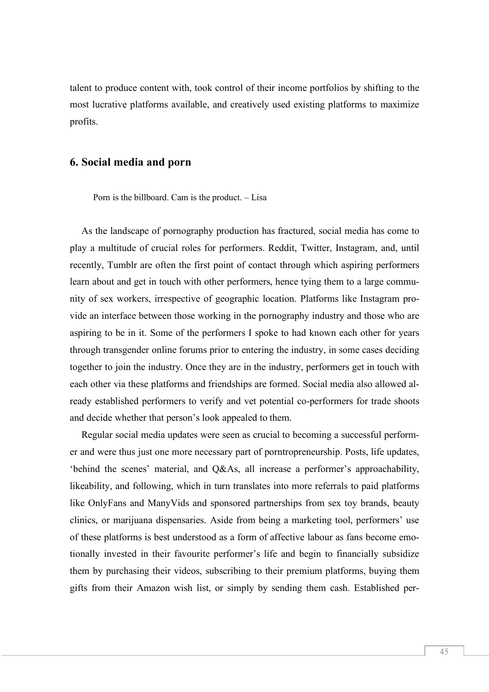talent to produce content with, took control of their income portfolios by shifting to the most lucrative platforms available, and creatively used existing platforms to maximize profits.

#### **6. Social media and porn**

Porn is the billboard. Cam is the product. – Lisa

As the landscape of pornography production has fractured, social media has come to play a multitude of crucial roles for performers. Reddit, Twitter, Instagram, and, until recently, Tumblr are often the first point of contact through which aspiring performers learn about and get in touch with other performers, hence tying them to a large community of sex workers, irrespective of geographic location. Platforms like Instagram provide an interface between those working in the pornography industry and those who are aspiring to be in it. Some of the performers I spoke to had known each other for years through transgender online forums prior to entering the industry, in some cases deciding together to join the industry. Once they are in the industry, performers get in touch with each other via these platforms and friendships are formed. Social media also allowed already established performers to verify and vet potential co-performers for trade shoots and decide whether that person's look appealed to them.

Regular social media updates were seen as crucial to becoming a successful performer and were thus just one more necessary part of porntropreneurship. Posts, life updates, 'behind the scenes' material, and Q&As, all increase a performer's approachability, likeability, and following, which in turn translates into more referrals to paid platforms like OnlyFans and ManyVids and sponsored partnerships from sex toy brands, beauty clinics, or marijuana dispensaries. Aside from being a marketing tool, performers' use of these platforms is best understood as a form of affective labour as fans become emotionally invested in their favourite performer's life and begin to financially subsidize them by purchasing their videos, subscribing to their premium platforms, buying them gifts from their Amazon wish list, or simply by sending them cash. Established per-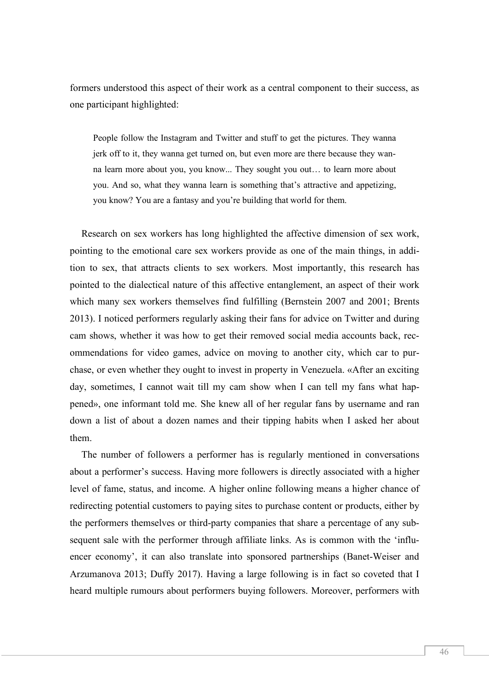formers understood this aspect of their work as a central component to their success, as one participant highlighted:

People follow the Instagram and Twitter and stuff to get the pictures. They wanna jerk off to it, they wanna get turned on, but even more are there because they wanna learn more about you, you know... They sought you out… to learn more about you. And so, what they wanna learn is something that's attractive and appetizing, you know? You are a fantasy and you're building that world for them.

Research on sex workers has long highlighted the affective dimension of sex work, pointing to the emotional care sex workers provide as one of the main things, in addition to sex, that attracts clients to sex workers. Most importantly, this research has pointed to the dialectical nature of this affective entanglement, an aspect of their work which many sex workers themselves find fulfilling (Bernstein 2007 and 2001; Brents 2013). I noticed performers regularly asking their fans for advice on Twitter and during cam shows, whether it was how to get their removed social media accounts back, recommendations for video games, advice on moving to another city, which car to purchase, or even whether they ought to invest in property in Venezuela. «After an exciting day, sometimes, I cannot wait till my cam show when I can tell my fans what happened», one informant told me. She knew all of her regular fans by username and ran down a list of about a dozen names and their tipping habits when I asked her about them.

The number of followers a performer has is regularly mentioned in conversations about a performer's success. Having more followers is directly associated with a higher level of fame, status, and income. A higher online following means a higher chance of redirecting potential customers to paying sites to purchase content or products, either by the performers themselves or third-party companies that share a percentage of any subsequent sale with the performer through affiliate links. As is common with the 'influencer economy', it can also translate into sponsored partnerships (Banet-Weiser and Arzumanova 2013; Duffy 2017). Having a large following is in fact so coveted that I heard multiple rumours about performers buying followers. Moreover, performers with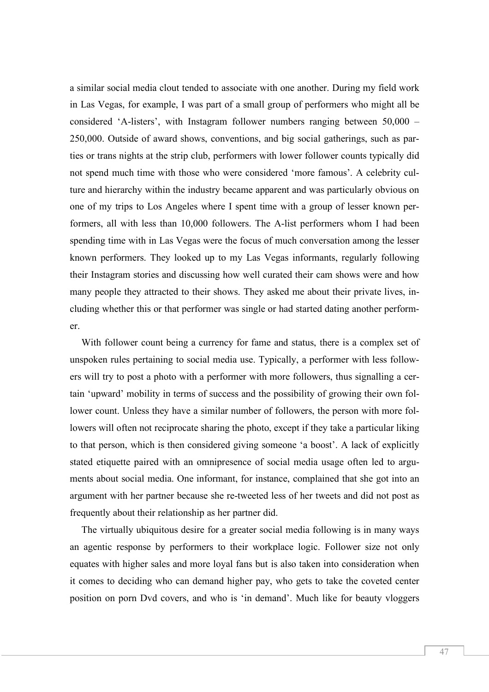a similar social media clout tended to associate with one another. During my field work in Las Vegas, for example, I was part of a small group of performers who might all be considered 'A-listers', with Instagram follower numbers ranging between 50,000 – 250,000. Outside of award shows, conventions, and big social gatherings, such as parties or trans nights at the strip club, performers with lower follower counts typically did not spend much time with those who were considered 'more famous'. A celebrity culture and hierarchy within the industry became apparent and was particularly obvious on one of my trips to Los Angeles where I spent time with a group of lesser known performers, all with less than 10,000 followers. The A-list performers whom I had been spending time with in Las Vegas were the focus of much conversation among the lesser known performers. They looked up to my Las Vegas informants, regularly following their Instagram stories and discussing how well curated their cam shows were and how many people they attracted to their shows. They asked me about their private lives, including whether this or that performer was single or had started dating another performer.

With follower count being a currency for fame and status, there is a complex set of unspoken rules pertaining to social media use. Typically, a performer with less followers will try to post a photo with a performer with more followers, thus signalling a certain 'upward' mobility in terms of success and the possibility of growing their own follower count. Unless they have a similar number of followers, the person with more followers will often not reciprocate sharing the photo, except if they take a particular liking to that person, which is then considered giving someone 'a boost'. A lack of explicitly stated etiquette paired with an omnipresence of social media usage often led to arguments about social media. One informant, for instance, complained that she got into an argument with her partner because she re-tweeted less of her tweets and did not post as frequently about their relationship as her partner did.

The virtually ubiquitous desire for a greater social media following is in many ways an agentic response by performers to their workplace logic. Follower size not only equates with higher sales and more loyal fans but is also taken into consideration when it comes to deciding who can demand higher pay, who gets to take the coveted center position on porn Dvd covers, and who is 'in demand'. Much like for beauty vloggers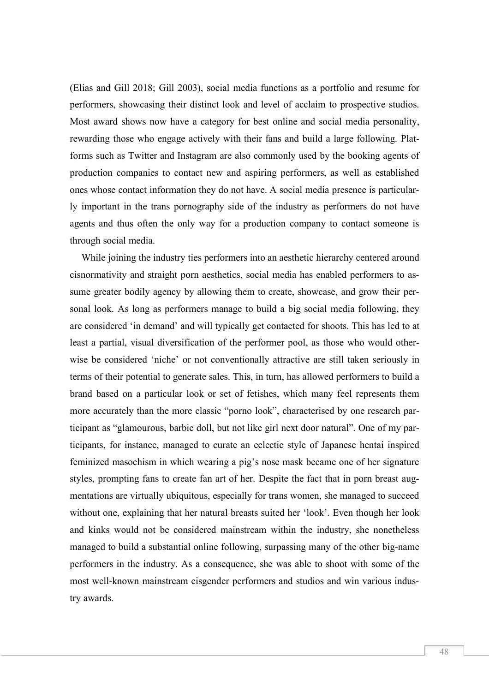(Elias and Gill 2018; Gill 2003), social media functions as a portfolio and resume for performers, showcasing their distinct look and level of acclaim to prospective studios. Most award shows now have a category for best online and social media personality, rewarding those who engage actively with their fans and build a large following. Platforms such as Twitter and Instagram are also commonly used by the booking agents of production companies to contact new and aspiring performers, as well as established ones whose contact information they do not have. A social media presence is particularly important in the trans pornography side of the industry as performers do not have agents and thus often the only way for a production company to contact someone is through social media.

While joining the industry ties performers into an aesthetic hierarchy centered around cisnormativity and straight porn aesthetics, social media has enabled performers to assume greater bodily agency by allowing them to create, showcase, and grow their personal look. As long as performers manage to build a big social media following, they are considered 'in demand' and will typically get contacted for shoots. This has led to at least a partial, visual diversification of the performer pool, as those who would otherwise be considered 'niche' or not conventionally attractive are still taken seriously in terms of their potential to generate sales. This, in turn, has allowed performers to build a brand based on a particular look or set of fetishes, which many feel represents them more accurately than the more classic "porno look", characterised by one research participant as "glamourous, barbie doll, but not like girl next door natural". One of my participants, for instance, managed to curate an eclectic style of Japanese hentai inspired feminized masochism in which wearing a pig's nose mask became one of her signature styles, prompting fans to create fan art of her. Despite the fact that in porn breast augmentations are virtually ubiquitous, especially for trans women, she managed to succeed without one, explaining that her natural breasts suited her 'look'. Even though her look and kinks would not be considered mainstream within the industry, she nonetheless managed to build a substantial online following, surpassing many of the other big-name performers in the industry. As a consequence, she was able to shoot with some of the most well-known mainstream cisgender performers and studios and win various industry awards.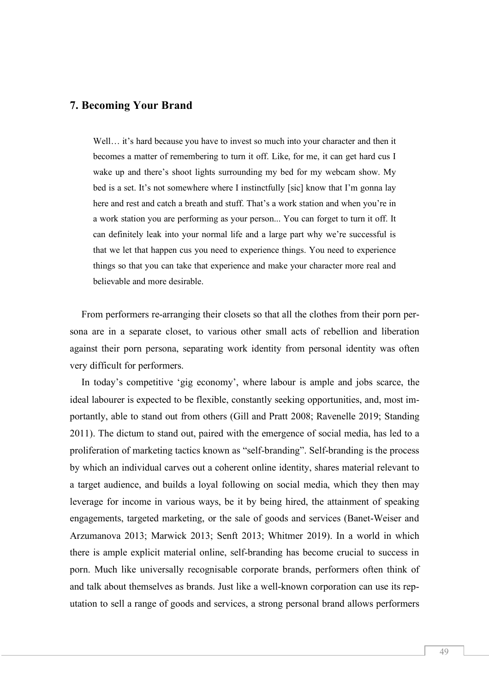#### **7. Becoming Your Brand**

Well... it's hard because you have to invest so much into your character and then it becomes a matter of remembering to turn it off. Like, for me, it can get hard cus I wake up and there's shoot lights surrounding my bed for my webcam show. My bed is a set. It's not somewhere where I instinctfully [sic] know that I'm gonna lay here and rest and catch a breath and stuff. That's a work station and when you're in a work station you are performing as your person... You can forget to turn it off. It can definitely leak into your normal life and a large part why we're successful is that we let that happen cus you need to experience things. You need to experience things so that you can take that experience and make your character more real and believable and more desirable.

From performers re-arranging their closets so that all the clothes from their porn persona are in a separate closet, to various other small acts of rebellion and liberation against their porn persona, separating work identity from personal identity was often very difficult for performers.

In today's competitive 'gig economy', where labour is ample and jobs scarce, the ideal labourer is expected to be flexible, constantly seeking opportunities, and, most importantly, able to stand out from others (Gill and Pratt 2008; Ravenelle 2019; Standing 2011). The dictum to stand out, paired with the emergence of social media, has led to a proliferation of marketing tactics known as "self-branding". Self-branding is the process by which an individual carves out a coherent online identity, shares material relevant to a target audience, and builds a loyal following on social media, which they then may leverage for income in various ways, be it by being hired, the attainment of speaking engagements, targeted marketing, or the sale of goods and services (Banet-Weiser and Arzumanova 2013; Marwick 2013; Senft 2013; Whitmer 2019). In a world in which there is ample explicit material online, self-branding has become crucial to success in porn. Much like universally recognisable corporate brands, performers often think of and talk about themselves as brands. Just like a well-known corporation can use its reputation to sell a range of goods and services, a strong personal brand allows performers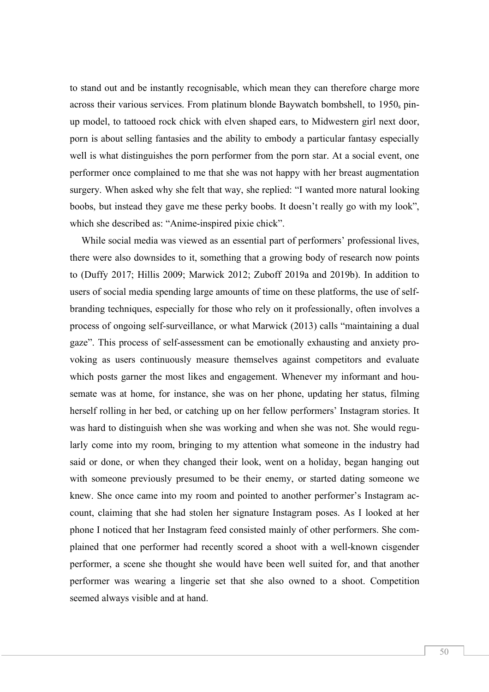to stand out and be instantly recognisable, which mean they can therefore charge more across their various services. From platinum blonde Baywatch bombshell, to  $1950<sub>s</sub>$  pinup model, to tattooed rock chick with elven shaped ears, to Midwestern girl next door, porn is about selling fantasies and the ability to embody a particular fantasy especially well is what distinguishes the porn performer from the porn star. At a social event, one performer once complained to me that she was not happy with her breast augmentation surgery. When asked why she felt that way, she replied: "I wanted more natural looking boobs, but instead they gave me these perky boobs. It doesn't really go with my look", which she described as: "Anime-inspired pixie chick".

While social media was viewed as an essential part of performers' professional lives, there were also downsides to it, something that a growing body of research now points to (Duffy 2017; Hillis 2009; Marwick 2012; Zuboff 2019a and 2019b). In addition to users of social media spending large amounts of time on these platforms, the use of selfbranding techniques, especially for those who rely on it professionally, often involves a process of ongoing self-surveillance, or what Marwick (2013) calls "maintaining a dual gaze". This process of self-assessment can be emotionally exhausting and anxiety provoking as users continuously measure themselves against competitors and evaluate which posts garner the most likes and engagement. Whenever my informant and housemate was at home, for instance, she was on her phone, updating her status, filming herself rolling in her bed, or catching up on her fellow performers' Instagram stories. It was hard to distinguish when she was working and when she was not. She would regularly come into my room, bringing to my attention what someone in the industry had said or done, or when they changed their look, went on a holiday, began hanging out with someone previously presumed to be their enemy, or started dating someone we knew. She once came into my room and pointed to another performer's Instagram account, claiming that she had stolen her signature Instagram poses. As I looked at her phone I noticed that her Instagram feed consisted mainly of other performers. She complained that one performer had recently scored a shoot with a well-known cisgender performer, a scene she thought she would have been well suited for, and that another performer was wearing a lingerie set that she also owned to a shoot. Competition seemed always visible and at hand.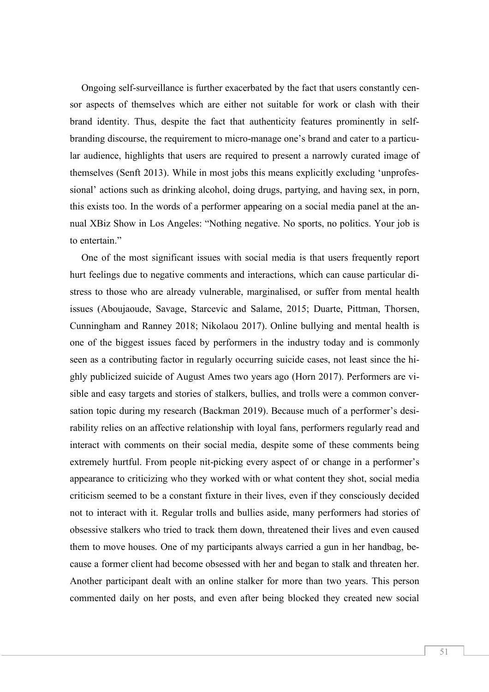Ongoing self-surveillance is further exacerbated by the fact that users constantly censor aspects of themselves which are either not suitable for work or clash with their brand identity. Thus, despite the fact that authenticity features prominently in selfbranding discourse, the requirement to micro-manage one's brand and cater to a particular audience, highlights that users are required to present a narrowly curated image of themselves (Senft 2013). While in most jobs this means explicitly excluding 'unprofessional' actions such as drinking alcohol, doing drugs, partying, and having sex, in porn, this exists too. In the words of a performer appearing on a social media panel at the annual XBiz Show in Los Angeles: "Nothing negative. No sports, no politics. Your job is to entertain."

One of the most significant issues with social media is that users frequently report hurt feelings due to negative comments and interactions, which can cause particular distress to those who are already vulnerable, marginalised, or suffer from mental health issues (Aboujaoude, Savage, Starcevic and Salame, 2015; Duarte, Pittman, Thorsen, Cunningham and Ranney 2018; Nikolaou 2017). Online bullying and mental health is one of the biggest issues faced by performers in the industry today and is commonly seen as a contributing factor in regularly occurring suicide cases, not least since the highly publicized suicide of August Ames two years ago (Horn 2017). Performers are visible and easy targets and stories of stalkers, bullies, and trolls were a common conversation topic during my research (Backman 2019). Because much of a performer's desirability relies on an affective relationship with loyal fans, performers regularly read and interact with comments on their social media, despite some of these comments being extremely hurtful. From people nit-picking every aspect of or change in a performer's appearance to criticizing who they worked with or what content they shot, social media criticism seemed to be a constant fixture in their lives, even if they consciously decided not to interact with it. Regular trolls and bullies aside, many performers had stories of obsessive stalkers who tried to track them down, threatened their lives and even caused them to move houses. One of my participants always carried a gun in her handbag, because a former client had become obsessed with her and began to stalk and threaten her. Another participant dealt with an online stalker for more than two years. This person commented daily on her posts, and even after being blocked they created new social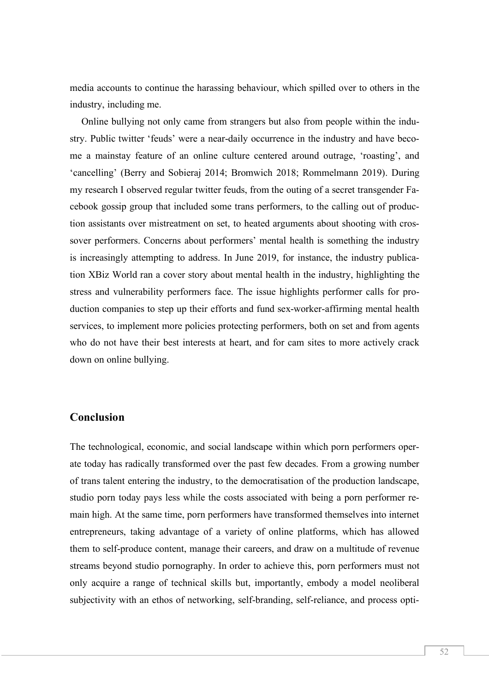media accounts to continue the harassing behaviour, which spilled over to others in the industry, including me.

Online bullying not only came from strangers but also from people within the industry. Public twitter 'feuds' were a near-daily occurrence in the industry and have become a mainstay feature of an online culture centered around outrage, 'roasting', and 'cancelling' (Berry and Sobieraj 2014; Bromwich 2018; Rommelmann 2019). During my research I observed regular twitter feuds, from the outing of a secret transgender Facebook gossip group that included some trans performers, to the calling out of production assistants over mistreatment on set, to heated arguments about shooting with crossover performers. Concerns about performers' mental health is something the industry is increasingly attempting to address. In June 2019, for instance, the industry publication XBiz World ran a cover story about mental health in the industry, highlighting the stress and vulnerability performers face. The issue highlights performer calls for production companies to step up their efforts and fund sex-worker-affirming mental health services, to implement more policies protecting performers, both on set and from agents who do not have their best interests at heart, and for cam sites to more actively crack down on online bullying.

#### **Conclusion**

The technological, economic, and social landscape within which porn performers operate today has radically transformed over the past few decades. From a growing number of trans talent entering the industry, to the democratisation of the production landscape, studio porn today pays less while the costs associated with being a porn performer remain high. At the same time, porn performers have transformed themselves into internet entrepreneurs, taking advantage of a variety of online platforms, which has allowed them to self-produce content, manage their careers, and draw on a multitude of revenue streams beyond studio pornography. In order to achieve this, porn performers must not only acquire a range of technical skills but, importantly, embody a model neoliberal subjectivity with an ethos of networking, self-branding, self-reliance, and process opti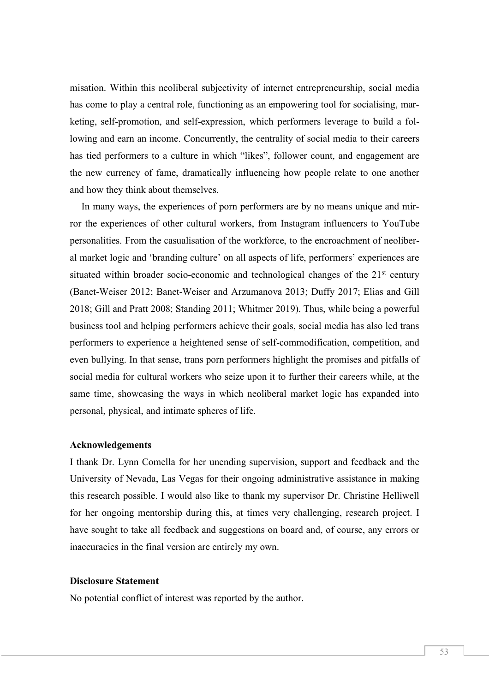misation. Within this neoliberal subjectivity of internet entrepreneurship, social media has come to play a central role, functioning as an empowering tool for socialising, marketing, self-promotion, and self-expression, which performers leverage to build a following and earn an income. Concurrently, the centrality of social media to their careers has tied performers to a culture in which "likes", follower count, and engagement are the new currency of fame, dramatically influencing how people relate to one another and how they think about themselves.

In many ways, the experiences of porn performers are by no means unique and mirror the experiences of other cultural workers, from Instagram influencers to YouTube personalities. From the casualisation of the workforce, to the encroachment of neoliberal market logic and 'branding culture' on all aspects of life, performers' experiences are situated within broader socio-economic and technological changes of the  $21<sup>st</sup>$  century (Banet-Weiser 2012; Banet-Weiser and Arzumanova 2013; Duffy 2017; Elias and Gill 2018; Gill and Pratt 2008; Standing 2011; Whitmer 2019). Thus, while being a powerful business tool and helping performers achieve their goals, social media has also led trans performers to experience a heightened sense of self-commodification, competition, and even bullying. In that sense, trans porn performers highlight the promises and pitfalls of social media for cultural workers who seize upon it to further their careers while, at the same time, showcasing the ways in which neoliberal market logic has expanded into personal, physical, and intimate spheres of life.

#### **Acknowledgements**

I thank Dr. Lynn Comella for her unending supervision, support and feedback and the University of Nevada, Las Vegas for their ongoing administrative assistance in making this research possible. I would also like to thank my supervisor Dr. Christine Helliwell for her ongoing mentorship during this, at times very challenging, research project. I have sought to take all feedback and suggestions on board and, of course, any errors or inaccuracies in the final version are entirely my own.

#### **Disclosure Statement**

No potential conflict of interest was reported by the author.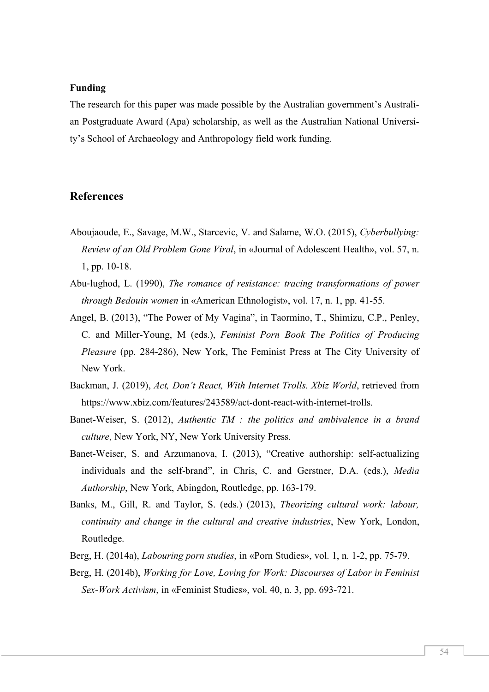#### **Funding**

The research for this paper was made possible by the Australian government's Australian Postgraduate Award (Apa) scholarship, as well as the Australian National University's School of Archaeology and Anthropology field work funding.

#### **References**

- Aboujaoude, E., Savage, M.W., Starcevic, V. and Salame, W.O. (2015), *Cyberbullying: Review of an Old Problem Gone Viral*, in «Journal of Adolescent Health», vol. 57, n. 1, pp. 10-18.
- Abu-lughod, L. (1990), *The romance of resistance: tracing transformations of power through Bedouin women* in «American Ethnologist», vol. 17, n. 1, pp. 41-55.
- Angel, B. (2013), "The Power of My Vagina", in Taormino, T., Shimizu, C.P., Penley, C. and Miller-Young, M (eds.), *Feminist Porn Book The Politics of Producing Pleasure* (pp. 284-286), New York, The Feminist Press at The City University of New York.
- Backman, J. (2019), *Act, Don't React, With Internet Trolls. Xbiz World*, retrieved from https://www.xbiz.com/features/243589/act-dont-react-with-internet-trolls.
- Banet-Weiser, S. (2012), *Authentic TM : the politics and ambivalence in a brand culture*, New York, NY, New York University Press.
- Banet-Weiser, S. and Arzumanova, I. (2013), "Creative authorship: self-actualizing individuals and the self-brand", in Chris, C. and Gerstner, D.A. (eds.), *Media Authorship*, New York, Abingdon, Routledge, pp. 163-179.
- Banks, M., Gill, R. and Taylor, S. (eds.) (2013), *Theorizing cultural work: labour, continuity and change in the cultural and creative industries*, New York, London, Routledge.
- Berg, H. (2014a), *Labouring porn studies*, in «Porn Studies», vol. 1, n. 1-2, pp. 75-79.
- Berg, H. (2014b), *Working for Love, Loving for Work: Discourses of Labor in Feminist Sex-Work Activism*, in «Feminist Studies», vol. 40, n. 3, pp. 693-721.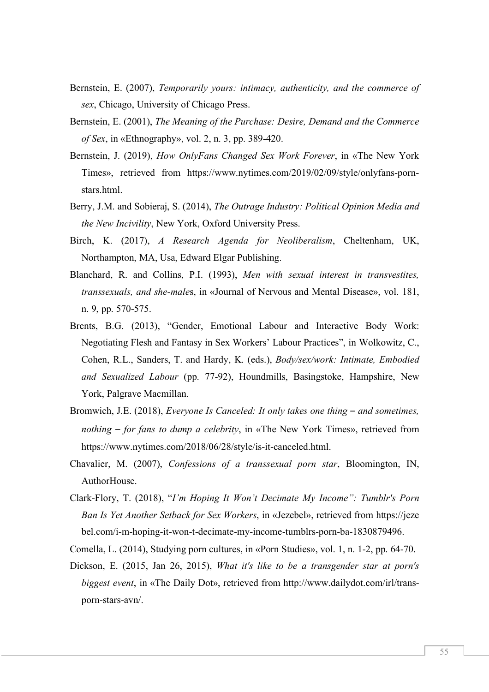- Bernstein, E. (2007), *Temporarily yours: intimacy, authenticity, and the commerce of sex*, Chicago, University of Chicago Press.
- Bernstein, E. (2001), *The Meaning of the Purchase: Desire, Demand and the Commerce of Sex*, in «Ethnography», vol. 2, n. 3, pp. 389-420.
- Bernstein, J. (2019), *How OnlyFans Changed Sex Work Forever*, in «The New York Times», retrieved from https://www.nytimes.com/2019/02/09/style/onlyfans-pornstars.html.
- Berry, J.M. and Sobieraj, S. (2014), *The Outrage Industry: Political Opinion Media and the New Incivility*, New York, Oxford University Press.
- Birch, K. (2017), *A Research Agenda for Neoliberalism*, Cheltenham, UK, Northampton, MA, Usa, Edward Elgar Publishing.
- Blanchard, R. and Collins, P.I. (1993), *Men with sexual interest in transvestites, transsexuals, and she-male*s, in «Journal of Nervous and Mental Disease», vol. 181, n. 9, pp. 570-575.
- Brents, B.G. (2013), "Gender, Emotional Labour and Interactive Body Work: Negotiating Flesh and Fantasy in Sex Workers' Labour Practices", in Wolkowitz, C., Cohen, R.L., Sanders, T. and Hardy, K. (eds.), *Body/sex/work: Intimate, Embodied and Sexualized Labour* (pp. 77-92), Houndmills, Basingstoke, Hampshire, New York, Palgrave Macmillan.
- Bromwich, J.E. (2018), *Everyone Is Canceled: It only takes one thing and sometimes, nothing* – *for fans to dump a celebrity*, in «The New York Times», retrieved from https://www.nytimes.com/2018/06/28/style/is-it-canceled.html.
- Chavalier, M. (2007), *Confessions of a transsexual porn star*, Bloomington, IN, AuthorHouse.
- Clark-Flory, T. (2018), "*I'm Hoping It Won't Decimate My Income": Tumblr's Porn Ban Is Yet Another Setback for Sex Workers*, in «Jezebel», retrieved from https://jeze bel.com/i-m-hoping-it-won-t-decimate-my-income-tumblrs-porn-ba-1830879496.
- Comella, L. (2014), Studying porn cultures, in «Porn Studies», vol. 1, n. 1-2, pp. 64-70.
- Dickson, E. (2015, Jan 26, 2015), *What it's like to be a transgender star at porn's biggest event*, in «The Daily Dot», retrieved from http://www.dailydot.com/irl/transporn-stars-avn/.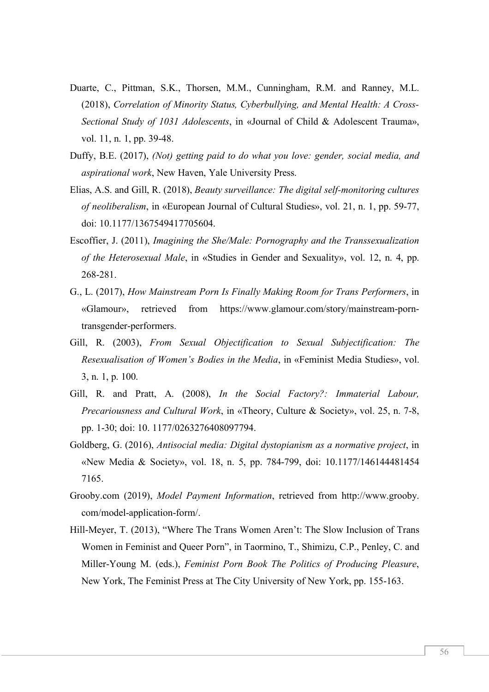- Duarte, C., Pittman, S.K., Thorsen, M.M., Cunningham, R.M. and Ranney, M.L. (2018), *Correlation of Minority Status, Cyberbullying, and Mental Health: A Cross-Sectional Study of 1031 Adolescents*, in «Journal of Child & Adolescent Trauma», vol. 11, n. 1, pp. 39-48.
- Duffy, B.E. (2017), *(Not) getting paid to do what you love: gender, social media, and aspirational work*, New Haven, Yale University Press.
- Elias, A.S. and Gill, R. (2018), *Beauty surveillance: The digital self-monitoring cultures of neoliberalism*, in «European Journal of Cultural Studies», vol. 21, n. 1, pp. 59-77, doi: 10.1177/1367549417705604.
- Escoffier, J. (2011), *Imagining the She/Male: Pornography and the Transsexualization of the Heterosexual Male*, in «Studies in Gender and Sexuality», vol. 12, n. 4, pp. 268-281.
- G., L. (2017), *How Mainstream Porn Is Finally Making Room for Trans Performers*, in «Glamour», retrieved from https://www.glamour.com/story/mainstream-porntransgender-performers.
- Gill, R. (2003), *From Sexual Objectification to Sexual Subjectification: The Resexualisation of Women's Bodies in the Media*, in «Feminist Media Studies», vol. 3, n. 1, p. 100.
- Gill, R. and Pratt, A. (2008), *In the Social Factory?: Immaterial Labour, Precariousness and Cultural Work*, in «Theory, Culture & Society», vol. 25, n. 7-8, pp. 1-30; doi: 10. 1177/0263276408097794.
- Goldberg, G. (2016), *Antisocial media: Digital dystopianism as a normative project*, in «New Media & Society», vol. 18, n. 5, pp. 784-799, doi: 10.1177/146144481454 7165.
- Grooby.com (2019), *Model Payment Information*, retrieved from http://www.grooby. com/model-application-form/.
- Hill-Meyer, T. (2013), "Where The Trans Women Aren't: The Slow Inclusion of Trans Women in Feminist and Queer Porn", in Taormino, T., Shimizu, C.P., Penley, C. and Miller-Young M. (eds.), *Feminist Porn Book The Politics of Producing Pleasure*, New York, The Feminist Press at The City University of New York, pp. 155-163.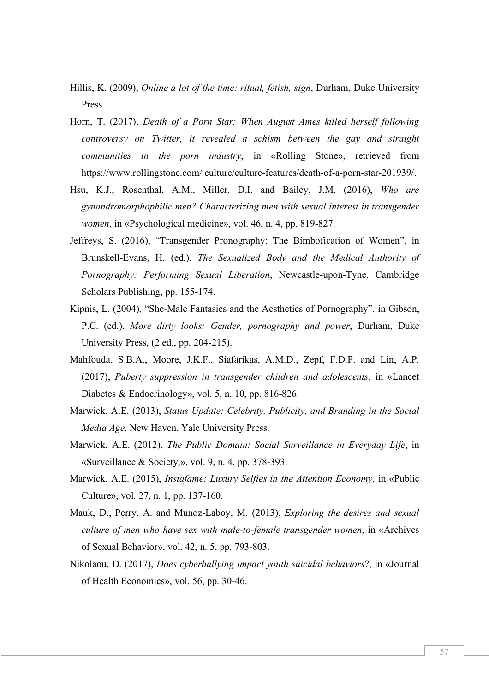- Hillis, K. (2009), *Online a lot of the time: ritual, fetish, sign*, Durham, Duke University Press.
- Horn, T. (2017), *Death of a Porn Star: When August Ames killed herself following controversy on Twitter, it revealed a schism between the gay and straight communities in the porn industry*, in «Rolling Stone», retrieved from https://www.rollingstone.com/ culture/culture-features/death-of-a-porn-star-201939/.
- Hsu, K.J., Rosenthal, A.M., Miller, D.I. and Bailey, J.M. (2016), *Who are gynandromorphophilic men? Characterizing men with sexual interest in transgender women*, in «Psychological medicine», vol. 46, n. 4, pp. 819-827.
- Jeffreys, S. (2016), "Transgender Pronography: The Bimbofication of Women", in Brunskell-Evans, H. (ed.), *The Sexualized Body and the Medical Authority of Pornography: Performing Sexual Liberation*, Newcastle-upon-Tyne, Cambridge Scholars Publishing, pp. 155-174.
- Kipnis, L. (2004), "She-Male Fantasies and the Aesthetics of Pornography", in Gibson, P.C. (ed.), *More dirty looks: Gender, pornography and power*, Durham, Duke University Press, (2 ed., pp. 204-215).
- Mahfouda, S.B.A., Moore, J.K.F., Siafarikas, A.M.D., Zepf, F.D.P. and Lin, A.P. (2017), *Puberty suppression in transgender children and adolescents*, in «Lancet Diabetes & Endocrinology», vol. 5, n. 10, pp. 816-826.
- Marwick, A.E. (2013), *Status Update: Celebrity, Publicity, and Branding in the Social Media Age*, New Haven, Yale University Press.
- Marwick, A.E. (2012), *The Public Domain: Social Surveillance in Everyday Life*, in «Surveillance & Society,», vol. 9, n. 4, pp. 378-393.
- Marwick, A.E. (2015), *Instafame: Luxury Selfies in the Attention Economy*, in «Public Culture», vol. 27, n. 1, pp. 137-160.
- Mauk, D., Perry, A. and Munoz-Laboy, M. (2013), *Exploring the desires and sexual culture of men who have sex with male-to-female transgender women*, in «Archives of Sexual Behavior», vol. 42, n. 5, pp. 793-803.
- Nikolaou, D. (2017), *Does cyberbullying impact youth suicidal behaviors*?, in «Journal of Health Economics», vol. 56, pp. 30-46.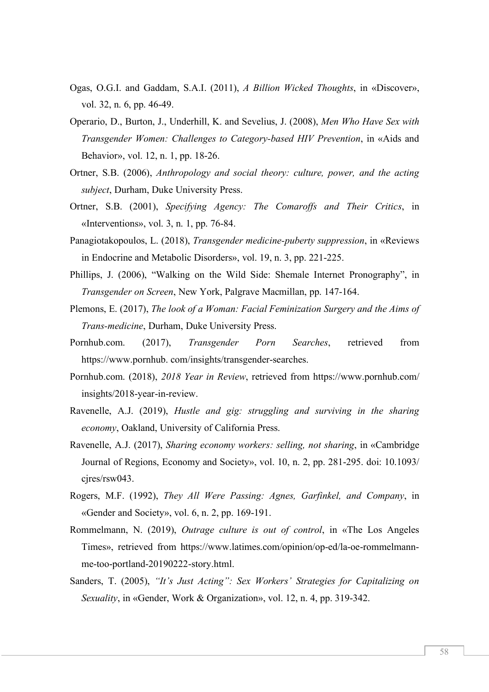- Ogas, O.G.I. and Gaddam, S.A.I. (2011), *A Billion Wicked Thoughts*, in «Discover», vol. 32, n. 6, pp. 46-49.
- Operario, D., Burton, J., Underhill, K. and Sevelius, J. (2008), *Men Who Have Sex with Transgender Women: Challenges to Category-based HIV Prevention*, in «Aids and Behavior», vol. 12, n. 1, pp. 18-26.
- Ortner, S.B. (2006), *Anthropology and social theory: culture, power, and the acting subject*, Durham, Duke University Press.
- Ortner, S.B. (2001), *Specifying Agency: The Comaroffs and Their Critics*, in «Interventions», vol. 3, n. 1, pp. 76-84.
- Panagiotakopoulos, L. (2018), *Transgender medicine-puberty suppression*, in «Reviews in Endocrine and Metabolic Disorders», vol. 19, n. 3, pp. 221-225.
- Phillips, J. (2006), "Walking on the Wild Side: Shemale Internet Pronography", in *Transgender on Screen*, New York, Palgrave Macmillan, pp. 147-164.
- Plemons, E. (2017), *The look of a Woman: Facial Feminization Surgery and the Aims of Trans-medicine*, Durham, Duke University Press.
- Pornhub.com. (2017), *Transgender Porn Searches*, retrieved from https://www.pornhub. com/insights/transgender-searches.
- Pornhub.com. (2018), *2018 Year in Review*, retrieved from https://www.pornhub.com/ insights/2018-year-in-review.
- Ravenelle, A.J. (2019), *Hustle and gig: struggling and surviving in the sharing economy*, Oakland, University of California Press.
- Ravenelle, A.J. (2017), *Sharing economy workers: selling, not sharing*, in «Cambridge Journal of Regions, Economy and Society», vol. 10, n. 2, pp. 281-295. doi: 10.1093/ cjres/rsw043.
- Rogers, M.F. (1992), *They All Were Passing: Agnes, Garfinkel, and Company*, in «Gender and Society», vol. 6, n. 2, pp. 169-191.
- Rommelmann, N. (2019), *Outrage culture is out of control*, in «The Los Angeles Times», retrieved from https://www.latimes.com/opinion/op-ed/la-oe-rommelmannme-too-portland-20190222-story.html.
- Sanders, T. (2005), *"It's Just Acting": Sex Workers' Strategies for Capitalizing on Sexuality*, in «Gender, Work & Organization», vol. 12, n. 4, pp. 319-342.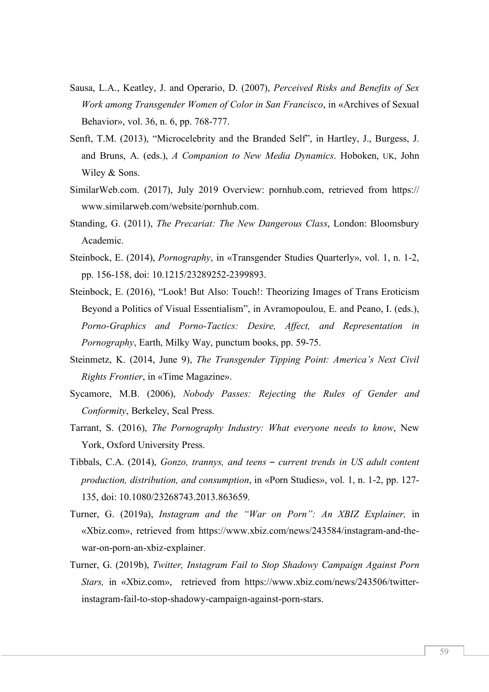- Sausa, L.A., Keatley, J. and Operario, D. (2007), *Perceived Risks and Benefits of Sex Work among Transgender Women of Color in San Francisco*, in «Archives of Sexual Behavior», vol. 36, n. 6, pp. 768-777.
- Senft, T.M. (2013), "Microcelebrity and the Branded Self", in Hartley, J., Burgess, J. and Bruns, A. (eds.), *A Companion to New Media Dynamics*. Hoboken, UK, John Wiley & Sons.
- SimilarWeb.com. (2017), July 2019 Overview: pornhub.com, retrieved from https:// www.similarweb.com/website/pornhub.com.
- Standing, G. (2011), *The Precariat: The New Dangerous Class*, London: Bloomsbury Academic.
- Steinbock, E. (2014), *Pornography*, in «Transgender Studies Quarterly», vol. 1, n. 1-2, pp. 156-158, doi: 10.1215/23289252-2399893.
- Steinbock, E. (2016), "Look! But Also: Touch!: Theorizing Images of Trans Eroticism Beyond a Politics of Visual Essentialism", in Avramopoulou, E. and Peano, I. (eds.), *Porno-Graphics and Porno-Tactics: Desire, Affect, and Representation in Pornography*, Earth, Milky Way, punctum books, pp. 59-75.
- Steinmetz, K. (2014, June 9), *The Transgender Tipping Point: America's Next Civil Rights Frontier*, in «Time Magazine».
- Sycamore, M.B. (2006), *Nobody Passes: Rejecting the Rules of Gender and Conformity*, Berkeley, Seal Press.
- Tarrant, S. (2016), *The Pornography Industry: What everyone needs to know*, New York, Oxford University Press.
- Tibbals, C.A. (2014), *Gonzo, trannys, and teens current trends in US adult content production, distribution, and consumption*, in «Porn Studies», vol. 1, n. 1-2, pp. 127- 135, doi: 10.1080/23268743.2013.863659.
- Turner, G. (2019a), *Instagram and the "War on Porn": An XBIZ Explainer,* in «Xbiz.com», retrieved from https://www.xbiz.com/news/243584/instagram-and-thewar-on-porn-an-xbiz-explainer.
- Turner, G. (2019b), *Twitter, Instagram Fail to Stop Shadowy Campaign Against Porn Stars,* in «Xbiz.com», retrieved from https://www.xbiz.com/news/243506/twitterinstagram-fail-to-stop-shadowy-campaign-against-porn-stars.